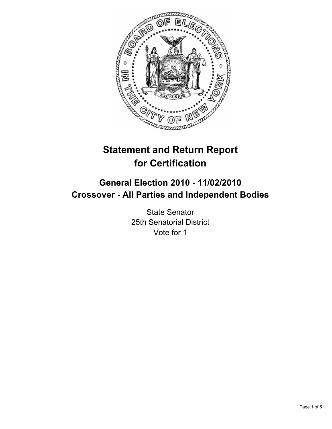

# **Statement and Return Report for Certification**

## **General Election 2010 - 11/02/2010 Crossover - All Parties and Independent Bodies**

State Senator 25th Senatorial District Vote for 1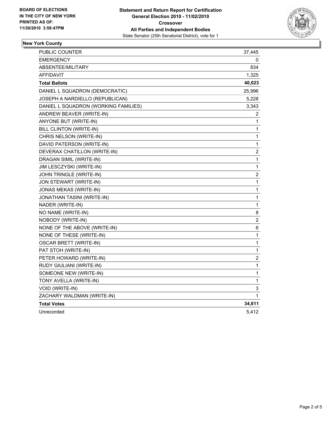

### **New York County**

| PUBLIC COUNTER                       | 37,445           |
|--------------------------------------|------------------|
| <b>EMERGENCY</b>                     | 0                |
| ABSENTEE/MILITARY                    | 834              |
| AFFIDAVIT                            | 1,325            |
| <b>Total Ballots</b>                 | 40,023           |
| DANIEL L SQUADRON (DEMOCRATIC)       | 25,996           |
| JOSEPH A NARDIELLO (REPUBLICAN)      | 5,228            |
| DANIEL L SQUADRON (WORKING FAMILIES) | 3,343            |
| ANDREW BEAVER (WRITE-IN)             | 2                |
| ANYONE BUT (WRITE-IN)                | 1                |
| BILL CLINTON (WRITE-IN)              | 1                |
| CHRIS NELSON (WRITE-IN)              | 1                |
| DAVID PATERSON (WRITE-IN)            | 1                |
| DEVERAX CHATILLON (WRITE-IN)         | 2                |
| DRAGAN SIMIL (WRITE-IN)              | $\mathbf{1}$     |
| JIM LESCZYSKI (WRITE-IN)             | $\mathbf{1}$     |
| JOHN TRINGLE (WRITE-IN)              | $\boldsymbol{2}$ |
| JON STEWART (WRITE-IN)               | 1                |
| JONAS MEKAS (WRITE-IN)               | $\mathbf{1}$     |
| JONATHAN TASINI (WRITE-IN)           | 1                |
| NADER (WRITE-IN)                     | 1                |
| NO NAME (WRITE-IN)                   | 8                |
| NOBODY (WRITE-IN)                    | $\boldsymbol{2}$ |
| NONE OF THE ABOVE (WRITE-IN)         | 6                |
| NONE OF THESE (WRITE-IN)             | $\mathbf{1}$     |
| <b>OSCAR BRETT (WRITE-IN)</b>        | 1                |
| PAT STOH (WRITE-IN)                  | 1                |
| PETER HOWARD (WRITE-IN)              | 2                |
| RUDY GIULIANI (WRITE-IN)             | $\mathbf{1}$     |
| SOMEONE NEW (WRITE-IN)               | 1                |
| TONY AVELLA (WRITE-IN)               | $\mathbf{1}$     |
| VOID (WRITE-IN)                      | 3                |
| ZACHARY WALDMAN (WRITE-IN)           | 1                |
| <b>Total Votes</b>                   | 34,611           |
| Unrecorded                           | 5,412            |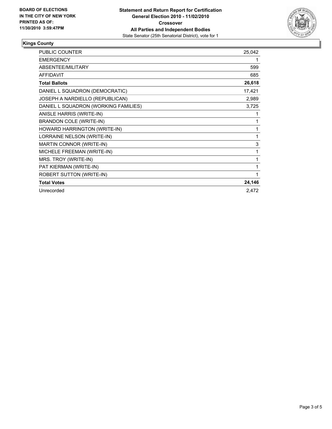

#### **Kings County**

| <b>PUBLIC COUNTER</b>                | 25,042 |
|--------------------------------------|--------|
| <b>EMERGENCY</b>                     | 1      |
| ABSENTEE/MILITARY                    | 599    |
| <b>AFFIDAVIT</b>                     | 685    |
| <b>Total Ballots</b>                 | 26,618 |
| DANIEL L SQUADRON (DEMOCRATIC)       | 17,421 |
| JOSEPH A NARDIELLO (REPUBLICAN)      | 2,989  |
| DANIEL L SQUADRON (WORKING FAMILIES) | 3,725  |
| ANISLE HARRIS (WRITE-IN)             | 1      |
| <b>BRANDON COLE (WRITE-IN)</b>       | 1      |
| HOWARD HARRINGTON (WRITE-IN)         | 1      |
| LORRAINE NELSON (WRITE-IN)           | 1      |
| <b>MARTIN CONNOR (WRITE-IN)</b>      | 3      |
| MICHELE FREEMAN (WRITE-IN)           | 1      |
| MRS. TROY (WRITE-IN)                 | 1      |
| PAT KIERMAN (WRITE-IN)               | 1      |
| ROBERT SUTTON (WRITE-IN)             | 1      |
| <b>Total Votes</b>                   | 24,146 |
| Unrecorded                           | 2,472  |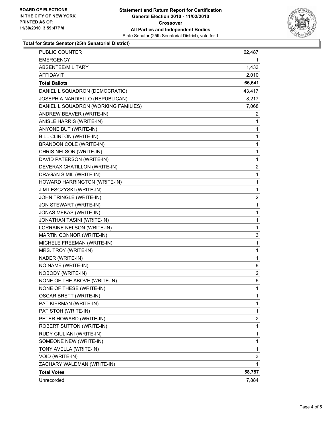

#### **Total for State Senator (25th Senatorial District)**

| <b>Total Votes</b>                    | 58,757         |
|---------------------------------------|----------------|
| ZACHARY WALDMAN (WRITE-IN)            | 1              |
| VOID (WRITE-IN)                       | 3              |
| TONY AVELLA (WRITE-IN)                | 1              |
| SOMEONE NEW (WRITE-IN)                | 1              |
| RUDY GIULIANI (WRITE-IN)              | 1              |
| ROBERT SUTTON (WRITE-IN)              | 1              |
| PETER HOWARD (WRITE-IN)               | 2              |
| PAT STOH (WRITE-IN)                   | 1              |
| PAT KIERMAN (WRITE-IN)                | 1              |
| <b>OSCAR BRETT (WRITE-IN)</b>         | 1              |
| NONE OF THESE (WRITE-IN)              | 1              |
| NONE OF THE ABOVE (WRITE-IN)          | 6              |
| NOBODY (WRITE-IN)                     | 2              |
| NO NAME (WRITE-IN)                    | 8              |
| NADER (WRITE-IN)                      | 1              |
| MRS. TROY (WRITE-IN)                  | 1              |
| MICHELE FREEMAN (WRITE-IN)            | 1              |
| MARTIN CONNOR (WRITE-IN)              | 3              |
| LORRAINE NELSON (WRITE-IN)            | 1              |
| JONATHAN TASINI (WRITE-IN)            | 1              |
| JONAS MEKAS (WRITE-IN)                | 1              |
| JON STEWART (WRITE-IN)                | 1              |
| JOHN TRINGLE (WRITE-IN)               | 2              |
| JIM LESCZYSKI (WRITE-IN)              | 1              |
| HOWARD HARRINGTON (WRITE-IN)          | 1              |
| DRAGAN SIMIL (WRITE-IN)               | 1              |
| DEVERAX CHATILLON (WRITE-IN)          | 2              |
| DAVID PATERSON (WRITE-IN)             | 1              |
| CHRIS NELSON (WRITE-IN)               | 1              |
| BRANDON COLE (WRITE-IN)               | 1              |
| BILL CLINTON (WRITE-IN)               | 1              |
| ANYONE BUT (WRITE-IN)                 | 1              |
| ANISLE HARRIS (WRITE-IN)              | 1              |
| ANDREW BEAVER (WRITE-IN)              | 2              |
| DANIEL L SQUADRON (WORKING FAMILIES)  | 7,068          |
| JOSEPH A NARDIELLO (REPUBLICAN)       | 8,217          |
| DANIEL L SQUADRON (DEMOCRATIC)        | 43,417         |
| <b>Total Ballots</b>                  | 66,641         |
| <b>AFFIDAVIT</b>                      | 1,433<br>2,010 |
| <b>EMERGENCY</b><br>ABSENTEE/MILITARY | 1              |
| PUBLIC COUNTER                        | 62,487         |
|                                       |                |